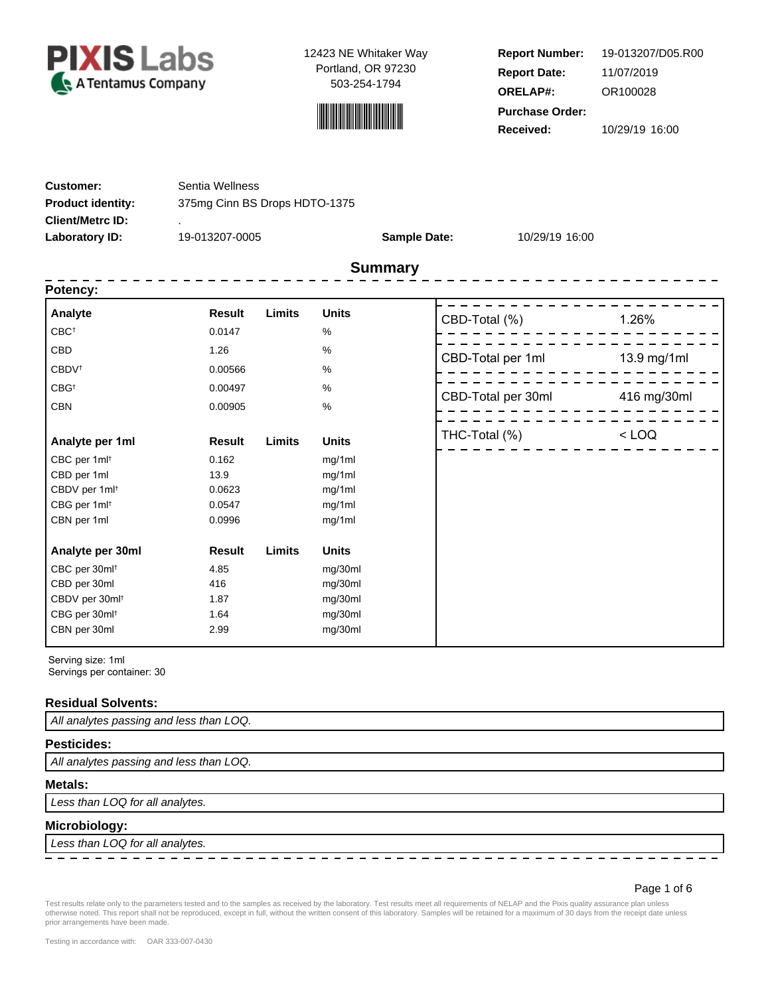



**Report Number: Report Date: ORELAP#:** 11/07/2019 OR100028 **Received:** 10/29/19 16:00 **Purchase Order:** 19-013207/D05.R00

| <b>Customer:</b>         | Sentia Wellness               |                     |                |
|--------------------------|-------------------------------|---------------------|----------------|
| <b>Product identity:</b> | 375mg Cinn BS Drops HDTO-1375 |                     |                |
| <b>Client/Metrc ID:</b>  |                               |                     |                |
| Laboratory ID:           | 19-013207-0005                | <b>Sample Date:</b> | 10/29/19 16:00 |
|                          |                               |                     |                |

# **Summary**

| <b>Result</b> | Limits                 | <b>Units</b> |                        | 1.26%                                                    |
|---------------|------------------------|--------------|------------------------|----------------------------------------------------------|
| 0.0147        |                        | %            |                        |                                                          |
| 1.26          |                        | %            |                        | 13.9 mg/1ml                                              |
| 0.00566       |                        | %            |                        |                                                          |
| 0.00497       |                        | %            |                        |                                                          |
| 0.00905       |                        | %            |                        | 416 mg/30ml                                              |
|               |                        |              | THC-Total (%)          | $<$ LOQ                                                  |
|               |                        |              |                        |                                                          |
| 13.9          |                        | mg/1ml       |                        |                                                          |
| 0.0623        |                        | mg/1ml       |                        |                                                          |
| 0.0547        |                        | mg/1ml       |                        |                                                          |
| 0.0996        |                        | mg/1ml       |                        |                                                          |
| <b>Result</b> | Limits                 | <b>Units</b> |                        |                                                          |
| 4.85          |                        | mg/30ml      |                        |                                                          |
| 416           |                        | mg/30ml      |                        |                                                          |
| 1.87          |                        | mg/30ml      |                        |                                                          |
| 1.64          |                        | mg/30ml      |                        |                                                          |
| 2.99          |                        | mg/30ml      |                        |                                                          |
|               | <b>Result</b><br>0.162 | Limits       | <b>Units</b><br>mg/1ml | CBD-Total (%)<br>CBD-Total per 1ml<br>CBD-Total per 30ml |

Serving size: 1ml

Servings per container: 30

### **Residual Solvents:**

All analytes passing and less than LOQ.

### **Pesticides:**

All analytes passing and less than LOQ.

### **Metals:**

Less than LOQ for all analytes.

### **Microbiology:**

Less than LOQ for all analytes.

### Page 1 of 6

— — — — — —

Test results relate only to the parameters tested and to the samples as received by the laboratory. Test results meet all requirements of NELAP and the Pixis quality assurance plan unless otherwise noted. This report shall not be reproduced, except in full, without the written consent of this laboratory. Samples will be retained for a maximum of 30 days from the receipt date unless prior arrangements have been made.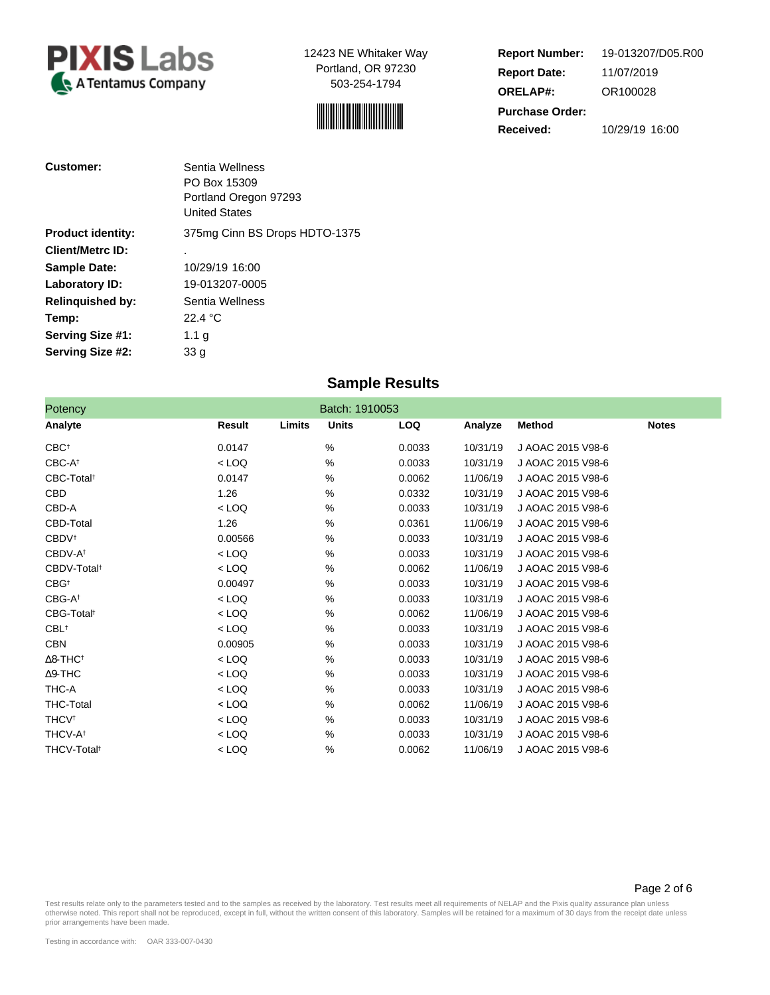



**Report Number: Report Date: ORELAP#:** 11/07/2019 OR100028 **Received:** 10/29/19 16:00 **Purchase Order:** 19-013207/D05.R00

Page 2 of 6

| <b>Customer:</b>         | Sentia Wellness<br>PO Box 15309<br>Portland Oregon 97293<br><b>United States</b> |
|--------------------------|----------------------------------------------------------------------------------|
| <b>Product identity:</b> | 375mg Cinn BS Drops HDTO-1375                                                    |
| <b>Client/Metrc ID:</b>  | ٠                                                                                |
| <b>Sample Date:</b>      | 10/29/19 16:00                                                                   |
| Laboratory ID:           | 19-013207-0005                                                                   |
| <b>Relinguished by:</b>  | Sentia Wellness                                                                  |
| Temp:                    | 22.4 °C                                                                          |
| Serving Size #1:         | 1.1 $q$                                                                          |
| Serving Size #2:         | 33 a                                                                             |

# **Sample Results**

| Potency                     |         |        | Batch: 1910053 |            |          |                   |              |
|-----------------------------|---------|--------|----------------|------------|----------|-------------------|--------------|
| Analyte                     | Result  | Limits | <b>Units</b>   | <b>LOQ</b> | Analyze  | Method            | <b>Notes</b> |
| $CBC^{\dagger}$             | 0.0147  |        | %              | 0.0033     | 10/31/19 | J AOAC 2015 V98-6 |              |
| CBC-At                      | < LOQ   |        | %              | 0.0033     | 10/31/19 | J AOAC 2015 V98-6 |              |
| CBC-Total <sup>t</sup>      | 0.0147  |        | $\%$           | 0.0062     | 11/06/19 | J AOAC 2015 V98-6 |              |
| <b>CBD</b>                  | 1.26    |        | %              | 0.0332     | 10/31/19 | J AOAC 2015 V98-6 |              |
| CBD-A                       | $<$ LOQ |        | %              | 0.0033     | 10/31/19 | J AOAC 2015 V98-6 |              |
| CBD-Total                   | 1.26    |        | %              | 0.0361     | 11/06/19 | J AOAC 2015 V98-6 |              |
| <b>CBDV</b> <sup>+</sup>    | 0.00566 |        | %              | 0.0033     | 10/31/19 | J AOAC 2015 V98-6 |              |
| CBDV-A <sup>t</sup>         | $<$ LOQ |        | %              | 0.0033     | 10/31/19 | J AOAC 2015 V98-6 |              |
| CBDV-Total <sup>t</sup>     | $<$ LOQ |        | %              | 0.0062     | 11/06/19 | J AOAC 2015 V98-6 |              |
| $CBG^{\dagger}$             | 0.00497 |        | %              | 0.0033     | 10/31/19 | J AOAC 2015 V98-6 |              |
| CBG-A <sup>+</sup>          | $<$ LOQ |        | %              | 0.0033     | 10/31/19 | J AOAC 2015 V98-6 |              |
| CBG-Total <sup>t</sup>      | $<$ LOQ |        | %              | 0.0062     | 11/06/19 | J AOAC 2015 V98-6 |              |
| $CBL$ <sup>†</sup>          | $<$ LOQ |        | %              | 0.0033     | 10/31/19 | J AOAC 2015 V98-6 |              |
| <b>CBN</b>                  | 0.00905 |        | $\%$           | 0.0033     | 10/31/19 | J AOAC 2015 V98-6 |              |
| $\Delta$ 8-THC <sup>†</sup> | $<$ LOQ |        | %              | 0.0033     | 10/31/19 | J AOAC 2015 V98-6 |              |
| $\Delta$ 9-THC              | $<$ LOQ |        | %              | 0.0033     | 10/31/19 | J AOAC 2015 V98-6 |              |
| THC-A                       | $<$ LOQ |        | %              | 0.0033     | 10/31/19 | J AOAC 2015 V98-6 |              |
| <b>THC-Total</b>            | $<$ LOQ |        | %              | 0.0062     | 11/06/19 | J AOAC 2015 V98-6 |              |
| <b>THCV</b> <sup>t</sup>    | $<$ LOQ |        | %              | 0.0033     | 10/31/19 | J AOAC 2015 V98-6 |              |
| THCV-A <sup>t</sup>         | $<$ LOQ |        | %              | 0.0033     | 10/31/19 | J AOAC 2015 V98-6 |              |
| THCV-Total <sup>t</sup>     | $<$ LOQ |        | %              | 0.0062     | 11/06/19 | J AOAC 2015 V98-6 |              |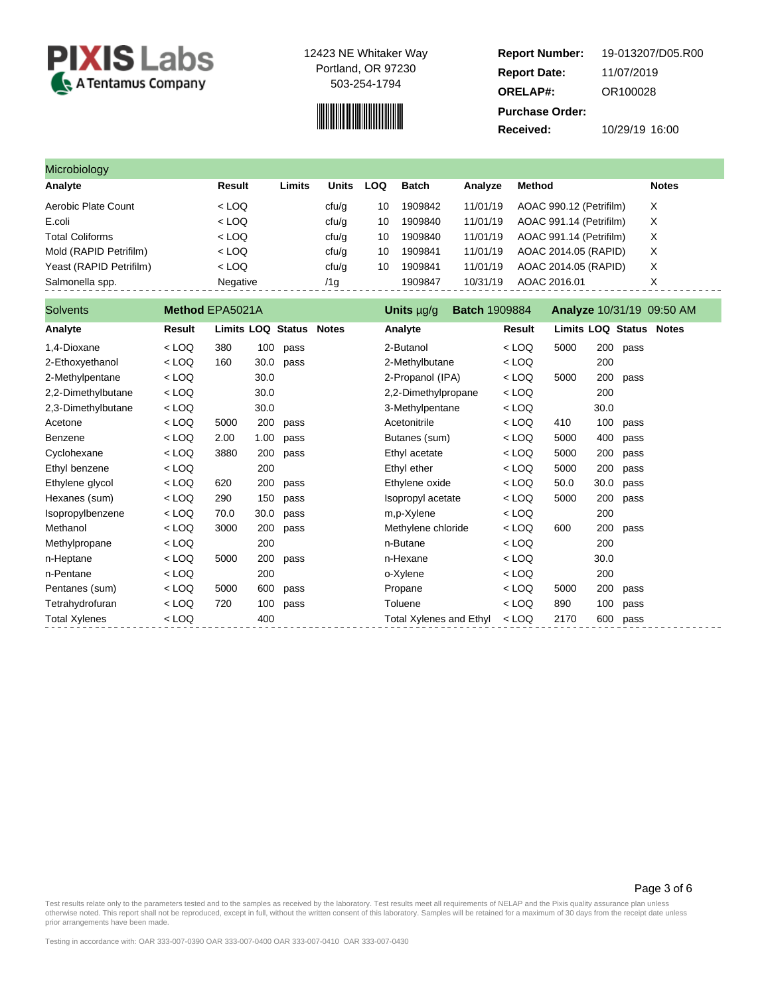

# 

**Report Number: Report Date: ORELAP#:** 11/07/2019 OR100028 **Received:** 10/29/19 16:00 **Purchase Order:** 19-013207/D05.R00

| Microbiology            |          |        |       |     |         |          |                         |              |
|-------------------------|----------|--------|-------|-----|---------|----------|-------------------------|--------------|
| Analyte                 | Result   | Limits | Units | LOQ | Batch   | Analvze  | Method                  | <b>Notes</b> |
| Aerobic Plate Count     | $<$ LOQ  |        | cfu/g | 10  | 1909842 | 11/01/19 | AOAC 990.12 (Petrifilm) | X            |
| E.coli                  | $<$ LOQ  |        | cfu/g | 10  | 1909840 | 11/01/19 | AOAC 991.14 (Petrifilm) | X            |
| <b>Total Coliforms</b>  | $<$ LOQ  |        | ctu/g | 10  | 1909840 | 11/01/19 | AOAC 991.14 (Petrifilm) | X            |
| Mold (RAPID Petrifilm)  | $<$ LOQ  |        | cfu/g | 10  | 1909841 | 11/01/19 | AOAC 2014.05 (RAPID)    | X            |
| Yeast (RAPID Petrifilm) | $<$ LOQ  |        | ctu/g | 10  | 1909841 | 11/01/19 | AOAC 2014.05 (RAPID)    | X            |
| Salmonella spp.         | Negative |        | /1g   |     | 1909847 | 10/31/19 | AOAC 2016.01            | X            |

| <b>Solvents</b>      | Method EPA5021A |                         |      |      | Units µg/g              | <b>Batch 1909884</b> |         |                         |      |          | <b>Analyze 10/31/19 09:50 AM</b> |
|----------------------|-----------------|-------------------------|------|------|-------------------------|----------------------|---------|-------------------------|------|----------|----------------------------------|
| Analyte              | Result          | Limits LOQ Status Notes |      |      | Analyte                 |                      | Result  | Limits LOQ Status Notes |      |          |                                  |
| 1,4-Dioxane          | $<$ LOQ         | 380                     | 100  | pass | 2-Butanol               |                      | $<$ LOQ | 5000                    |      | 200 pass |                                  |
| 2-Ethoxyethanol      | < LOQ           | 160                     | 30.0 | pass | 2-Methylbutane          |                      | < LOQ   |                         | 200  |          |                                  |
| 2-Methylpentane      | $<$ LOQ         |                         | 30.0 |      | 2-Propanol (IPA)        |                      | $<$ LOQ | 5000                    | 200  | pass     |                                  |
| 2,2-Dimethylbutane   | $<$ LOQ         |                         | 30.0 |      | 2,2-Dimethylpropane     |                      | $<$ LOQ |                         | 200  |          |                                  |
| 2,3-Dimethylbutane   | $<$ LOQ         |                         | 30.0 |      | 3-Methylpentane         |                      | $<$ LOQ |                         | 30.0 |          |                                  |
| Acetone              | $<$ LOQ         | 5000                    | 200  | pass | Acetonitrile            |                      | $<$ LOQ | 410                     | 100  | pass     |                                  |
| Benzene              | $<$ LOQ         | 2.00                    | 1.00 | pass | Butanes (sum)           |                      | < LOQ   | 5000                    | 400  | pass     |                                  |
| Cyclohexane          | $<$ LOQ         | 3880                    | 200  | pass | Ethyl acetate           |                      | $<$ LOQ | 5000                    | 200  | pass     |                                  |
| Ethyl benzene        | $<$ LOQ         |                         | 200  |      | Ethyl ether             |                      | < LOQ   | 5000                    | 200  | pass     |                                  |
| Ethylene glycol      | $<$ LOQ         | 620                     | 200  | pass | Ethylene oxide          |                      | $<$ LOQ | 50.0                    | 30.0 | pass     |                                  |
| Hexanes (sum)        | $<$ LOQ         | 290                     | 150  | pass | Isopropyl acetate       |                      | < LOQ   | 5000                    | 200  | pass     |                                  |
| Isopropylbenzene     | $<$ LOQ         | 70.0                    | 30.0 | pass | m,p-Xylene              |                      | < LOQ   |                         | 200  |          |                                  |
| Methanol             | $<$ LOQ         | 3000                    | 200  | pass | Methylene chloride      |                      | < LOQ   | 600                     | 200  | pass     |                                  |
| Methylpropane        | $<$ LOQ         |                         | 200  |      | n-Butane                |                      | $<$ LOQ |                         | 200  |          |                                  |
| n-Heptane            | $<$ LOQ         | 5000                    | 200  | pass | n-Hexane                |                      | $<$ LOQ |                         | 30.0 |          |                                  |
| n-Pentane            | $<$ LOQ         |                         | 200  |      | o-Xylene                |                      | $<$ LOQ |                         | 200  |          |                                  |
| Pentanes (sum)       | $<$ LOQ         | 5000                    | 600  | pass | Propane                 |                      | $<$ LOQ | 5000                    | 200  | pass     |                                  |
| Tetrahydrofuran      | $<$ LOQ         | 720                     | 100  | pass | Toluene                 |                      | < LOQ   | 890                     | 100  | pass     |                                  |
| <b>Total Xylenes</b> | $<$ LOQ         |                         | 400  |      | Total Xylenes and Ethyl |                      | < LOQ   | 2170                    | 600  | pass     |                                  |

Page 3 of 6

Test results relate only to the parameters tested and to the samples as received by the laboratory. Test results meet all requirements of NELAP and the Pixis quality assurance plan unless<br>otherwise noted. This report shall prior arrangements have been made.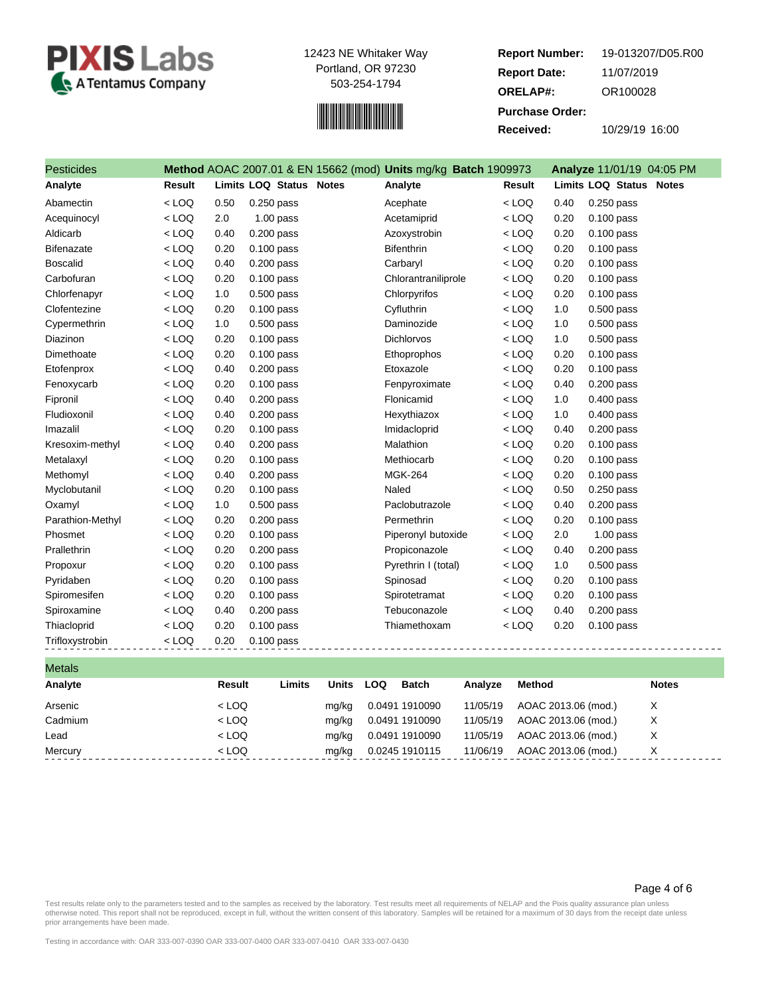



**Report Number: Report Date: ORELAP#:** 11/07/2019 OR100028 **Received:** 10/29/19 16:00 **Purchase Order:** 19-013207/D05.R00

| <b>Pesticides</b> |               |      |                                | Method AOAC 2007.01 & EN 15662 (mod) Units mg/kg Batch 1909973 |               |      | <b>Analyze 11/01/19 04:05 PM</b> |
|-------------------|---------------|------|--------------------------------|----------------------------------------------------------------|---------------|------|----------------------------------|
| Analyte           | <b>Result</b> |      | <b>Limits LOQ Status Notes</b> | Analyte                                                        | <b>Result</b> |      | <b>Limits LOQ Status Notes</b>   |
| Abamectin         | $<$ LOQ       | 0.50 | 0.250 pass                     | Acephate                                                       | $<$ LOQ       | 0.40 | 0.250 pass                       |
| Acequinocyl       | $<$ LOQ       | 2.0  | $1.00$ pass                    | Acetamiprid                                                    | $<$ LOQ       | 0.20 | $0.100$ pass                     |
| Aldicarb          | $<$ LOQ       | 0.40 | $0.200$ pass                   | Azoxystrobin                                                   | $<$ LOQ       | 0.20 | $0.100$ pass                     |
| <b>Bifenazate</b> | $<$ LOQ       | 0.20 | $0.100$ pass                   | <b>Bifenthrin</b>                                              | $<$ LOQ       | 0.20 | $0.100$ pass                     |
| <b>Boscalid</b>   | $<$ LOQ       | 0.40 | $0.200$ pass                   | Carbaryl                                                       | $<$ LOQ       | 0.20 | $0.100$ pass                     |
| Carbofuran        | $<$ LOQ       | 0.20 | $0.100$ pass                   | Chlorantraniliprole                                            | $<$ LOQ       | 0.20 | $0.100$ pass                     |
| Chlorfenapyr      | $<$ LOQ       | 1.0  | $0.500$ pass                   | Chlorpyrifos                                                   | $<$ LOQ       | 0.20 | $0.100$ pass                     |
| Clofentezine      | $<$ LOQ       | 0.20 | $0.100$ pass                   | Cyfluthrin                                                     | $<$ LOQ       | 1.0  | 0.500 pass                       |
| Cypermethrin      | $<$ LOQ       | 1.0  | $0.500$ pass                   | Daminozide                                                     | $<$ LOQ       | 1.0  | $0.500$ pass                     |
| Diazinon          | $<$ LOQ       | 0.20 | $0.100$ pass                   | <b>Dichlorvos</b>                                              | $<$ LOQ       | 1.0  | $0.500$ pass                     |
| Dimethoate        | $<$ LOQ       | 0.20 | $0.100$ pass                   | Ethoprophos                                                    | $<$ LOQ       | 0.20 | $0.100$ pass                     |
| Etofenprox        | $<$ LOQ       | 0.40 | $0.200$ pass                   | Etoxazole                                                      | $<$ LOQ       | 0.20 | $0.100$ pass                     |
| Fenoxycarb        | $<$ LOQ       | 0.20 | $0.100$ pass                   | Fenpyroximate                                                  | $<$ LOQ       | 0.40 | $0.200$ pass                     |
| Fipronil          | $<$ LOQ       | 0.40 | $0.200$ pass                   | Flonicamid                                                     | $<$ LOQ       | 1.0  | 0.400 pass                       |
| Fludioxonil       | $<$ LOQ       | 0.40 | $0.200$ pass                   | Hexythiazox                                                    | $<$ LOQ       | 1.0  | $0.400$ pass                     |
| Imazalil          | $<$ LOQ       | 0.20 | $0.100$ pass                   | Imidacloprid                                                   | $<$ LOQ       | 0.40 | $0.200$ pass                     |
| Kresoxim-methyl   | $<$ LOQ       | 0.40 | $0.200$ pass                   | Malathion                                                      | $<$ LOQ       | 0.20 | $0.100$ pass                     |
| Metalaxyl         | $<$ LOQ       | 0.20 | $0.100$ pass                   | Methiocarb                                                     | $<$ LOQ       | 0.20 | $0.100$ pass                     |
| Methomyl          | $<$ LOQ       | 0.40 | 0.200 pass                     | <b>MGK-264</b>                                                 | $<$ LOQ       | 0.20 | $0.100$ pass                     |
| Myclobutanil      | $<$ LOQ       | 0.20 | $0.100$ pass                   | Naled                                                          | $<$ LOQ       | 0.50 | 0.250 pass                       |
| Oxamyl            | $<$ LOQ       | 1.0  | $0.500$ pass                   | Paclobutrazole                                                 | $<$ LOQ       | 0.40 | $0.200$ pass                     |
| Parathion-Methyl  | $<$ LOQ       | 0.20 | 0.200 pass                     | Permethrin                                                     | $<$ LOQ       | 0.20 | $0.100$ pass                     |
| Phosmet           | $<$ LOQ       | 0.20 | $0.100$ pass                   | Piperonyl butoxide                                             | $<$ LOQ       | 2.0  | $1.00$ pass                      |
| Prallethrin       | $<$ LOQ       | 0.20 | $0.200$ pass                   | Propiconazole                                                  | $<$ LOQ       | 0.40 | $0.200$ pass                     |
| Propoxur          | $<$ LOQ       | 0.20 | 0.100 pass                     | Pyrethrin I (total)                                            | $<$ LOQ       | 1.0  | $0.500$ pass                     |
| Pyridaben         | $<$ LOQ       | 0.20 | $0.100$ pass                   | Spinosad                                                       | $<$ LOQ       | 0.20 | $0.100$ pass                     |
| Spiromesifen      | $<$ LOQ       | 0.20 | $0.100$ pass                   | Spirotetramat                                                  | $<$ LOQ       | 0.20 | $0.100$ pass                     |
| Spiroxamine       | $<$ LOQ       | 0.40 | $0.200$ pass                   | Tebuconazole                                                   | $<$ LOQ       | 0.40 | $0.200$ pass                     |
| Thiacloprid       | $<$ LOQ       | 0.20 | $0.100$ pass                   | Thiamethoxam                                                   | $<$ LOQ       | 0.20 | 0.100 pass                       |
| Trifloxystrobin   | $<$ LOQ       | 0.20 | $0.100$ pass                   |                                                                |               |      |                                  |

| <b>Metals</b> |         |        |              |     |                |          |                     |              |
|---------------|---------|--------|--------------|-----|----------------|----------|---------------------|--------------|
| Analyte       | Result  | Limits | <b>Units</b> | LOQ | <b>Batch</b>   | Analyze  | Method              | <b>Notes</b> |
| Arsenic       | $<$ LOQ |        | mg/kg        |     | 0.0491 1910090 | 11/05/19 | AOAC 2013.06 (mod.) | X            |
| Cadmium       | $<$ LOQ |        | mg/kg        |     | 0.0491 1910090 | 11/05/19 | AOAC 2013.06 (mod.) | Χ            |
| Lead          | $<$ LOQ |        | mg/kg        |     | 0.0491 1910090 | 11/05/19 | AOAC 2013.06 (mod.) | X            |
| Mercury       | $<$ LOQ |        | mg/kg        |     | 0.0245 1910115 | 11/06/19 | AOAC 2013.06 (mod.) | X            |

#### Page 4 of 6

Test results relate only to the parameters tested and to the samples as received by the laboratory. Test results meet all requirements of NELAP and the Pixis quality assurance plan unless<br>otherwise noted. This report shall prior arrangements have been made.

Testing in accordance with: OAR 333-007-0390 OAR 333-007-0400 OAR 333-007-0410 OAR 333-007-0430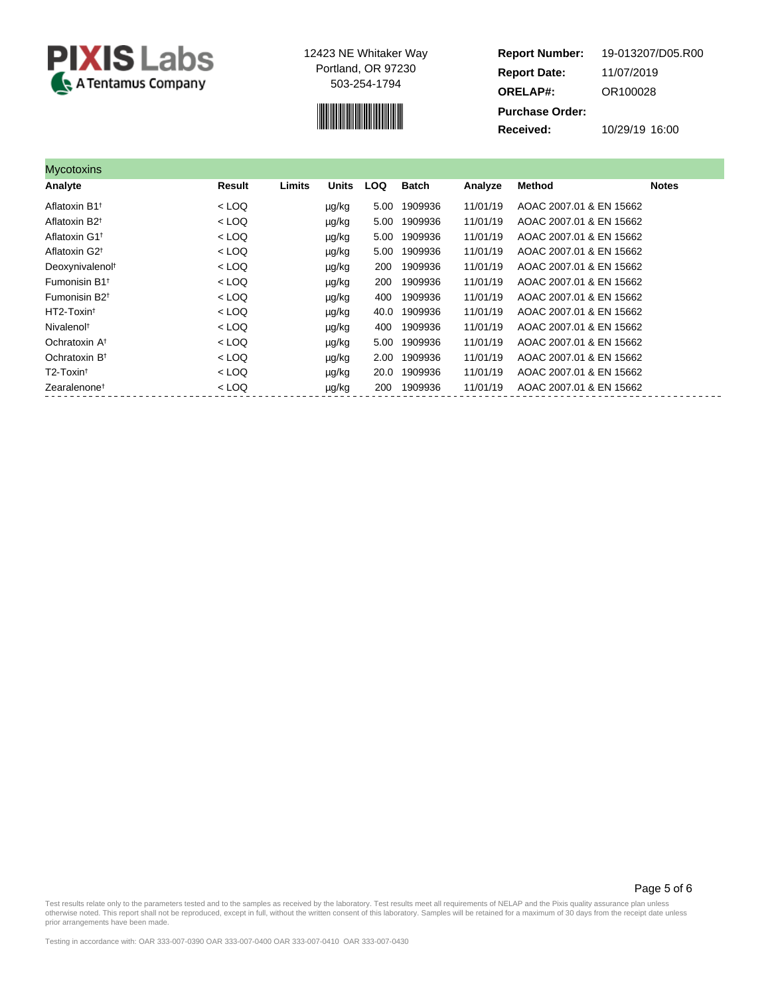



**Report Number: Report Date: ORELAP#:** 11/07/2019 OR100028 **Received:** 10/29/19 16:00 **Purchase Order:** 19-013207/D05.R00

| <b>Mycotoxins</b>                    |         |        |              |            |              |          |                         |              |
|--------------------------------------|---------|--------|--------------|------------|--------------|----------|-------------------------|--------------|
| Analyte                              | Result  | Limits | <b>Units</b> | <b>LOQ</b> | <b>Batch</b> | Analyze  | <b>Method</b>           | <b>Notes</b> |
| Aflatoxin B1 <sup>t</sup>            | $<$ LOQ |        | µg/kg        | 5.00       | 1909936      | 11/01/19 | AOAC 2007.01 & EN 15662 |              |
| Aflatoxin B <sub>2<sup>t</sup></sub> | $<$ LOQ |        | µg/kg        | 5.00       | 1909936      | 11/01/19 | AOAC 2007.01 & EN 15662 |              |
| Aflatoxin G1 <sup>t</sup>            | $<$ LOQ |        | µg/kg        | 5.00       | 1909936      | 11/01/19 | AOAC 2007.01 & EN 15662 |              |
| Aflatoxin G2 <sup>+</sup>            | $<$ LOQ |        | µg/kg        | 5.00       | 1909936      | 11/01/19 | AOAC 2007.01 & EN 15662 |              |
| Deoxynivalenol <sup>t</sup>          | $<$ LOQ |        | µg/kg        | 200        | 1909936      | 11/01/19 | AOAC 2007.01 & EN 15662 |              |
| Fumonisin B1 <sup>t</sup>            | $<$ LOQ |        | µg/kg        | 200        | 1909936      | 11/01/19 | AOAC 2007.01 & EN 15662 |              |
| Fumonisin B <sub>2<sup>t</sup></sub> | $<$ LOQ |        | µg/kg        | 400        | 1909936      | 11/01/19 | AOAC 2007.01 & EN 15662 |              |
| HT2-Toxin <sup>t</sup>               | $<$ LOQ |        | µg/kg        | 40.0       | 1909936      | 11/01/19 | AOAC 2007.01 & EN 15662 |              |
| Nivalenol <sup>t</sup>               | $<$ LOQ |        | µg/kg        | 400        | 1909936      | 11/01/19 | AOAC 2007.01 & EN 15662 |              |
| Ochratoxin A <sup>t</sup>            | $<$ LOQ |        | µg/kg        | 5.00       | 1909936      | 11/01/19 | AOAC 2007.01 & EN 15662 |              |
| Ochratoxin B <sup>t</sup>            | $<$ LOQ |        | µg/kg        | 2.00       | 1909936      | 11/01/19 | AOAC 2007.01 & EN 15662 |              |
| T2-Toxin <sup>t</sup>                | $<$ LOQ |        | µg/kg        | 20.0       | 1909936      | 11/01/19 | AOAC 2007.01 & EN 15662 |              |
| Zearalenone <sup>†</sup>             | $<$ LOQ |        | µg/kg        | 200        | 1909936      | 11/01/19 | AOAC 2007.01 & EN 15662 |              |

Page 5 of 6

Test results relate only to the parameters tested and to the samples as received by the laboratory. Test results meet all requirements of NELAP and the Pixis quality assurance plan unless<br>otherwise noted. This report shall prior arrangements have been made.